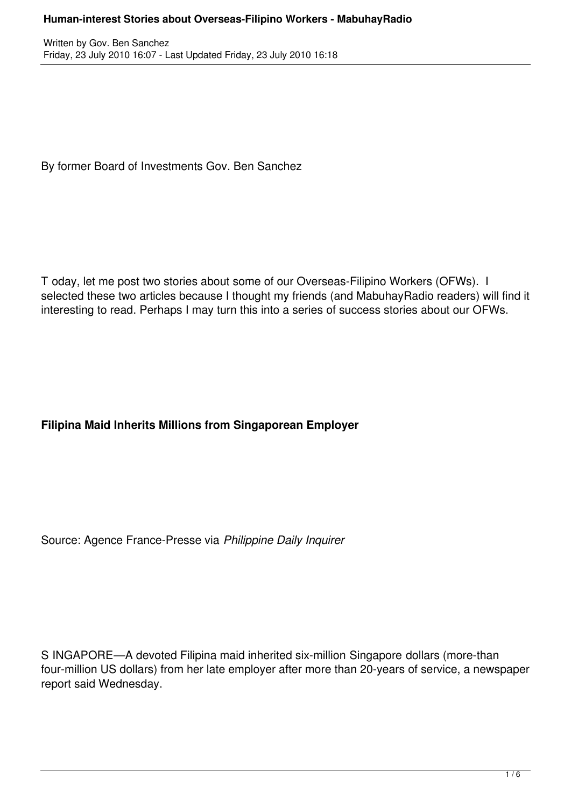By former Board of Investments Gov. Ben Sanchez

T oday, let me post two stories about some of our Overseas-Filipino Workers (OFWs). I selected these two articles because I thought my friends (and MabuhayRadio readers) will find it interesting to read. Perhaps I may turn this into a series of success stories about our OFWs.

## **Filipina Maid Inherits Millions from Singaporean Employer**

Source: Agence France-Presse via *Philippine Daily Inquirer*

S INGAPORE—A devoted Filipina maid inherited six-million Singapore dollars (more-than four-million US dollars) from her late employer after more than 20-years of service, a newspaper report said Wednesday.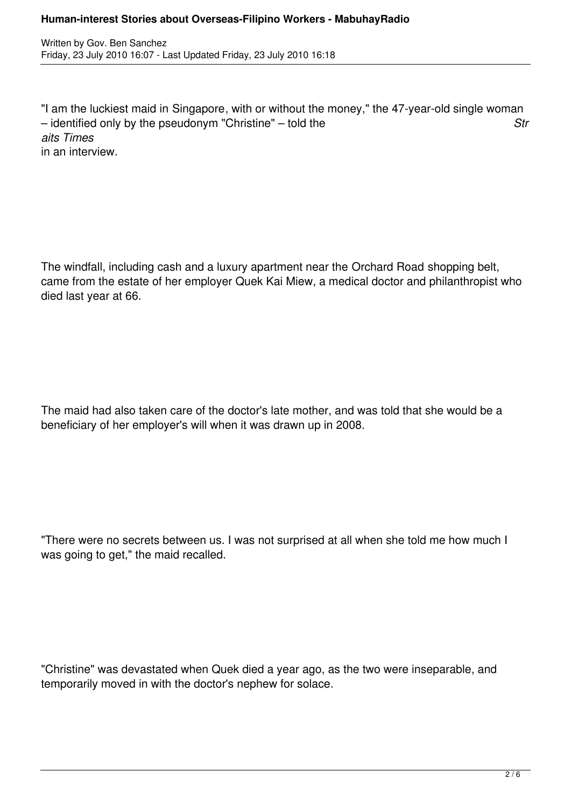### **Human-interest Stories about Overseas-Filipino Workers - MabuhayRadio**

Written by Gov. Ben Sanchez Friday, 23 July 2010 16:07 - Last Updated Friday, 23 July 2010 16:18

"I am the luckiest maid in Singapore, with or without the money," the 47-year-old single woman – identified only by the pseudonym "Christine" – told the *Str aits Times* in an interview.

The windfall, including cash and a luxury apartment near the Orchard Road shopping belt, came from the estate of her employer Quek Kai Miew, a medical doctor and philanthropist who died last year at 66.

The maid had also taken care of the doctor's late mother, and was told that she would be a beneficiary of her employer's will when it was drawn up in 2008.

"There were no secrets between us. I was not surprised at all when she told me how much I was going to get," the maid recalled.

"Christine" was devastated when Quek died a year ago, as the two were inseparable, and temporarily moved in with the doctor's nephew for solace.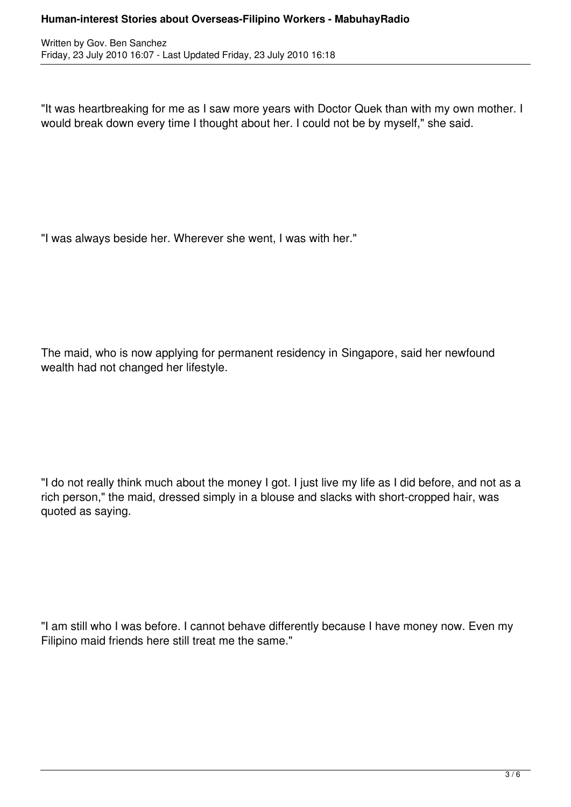"It was heartbreaking for me as I saw more years with Doctor Quek than with my own mother. I would break down every time I thought about her. I could not be by myself," she said.

"I was always beside her. Wherever she went, I was with her."

The maid, who is now applying for permanent residency in Singapore, said her newfound wealth had not changed her lifestyle.

"I do not really think much about the money I got. I just live my life as I did before, and not as a rich person," the maid, dressed simply in a blouse and slacks with short-cropped hair, was quoted as saying.

"I am still who I was before. I cannot behave differently because I have money now. Even my Filipino maid friends here still treat me the same."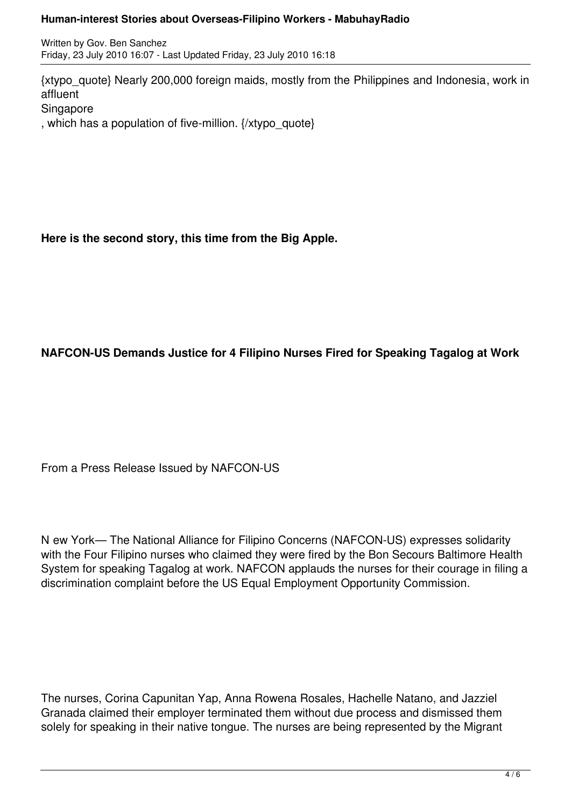### **Human-interest Stories about Overseas-Filipino Workers - MabuhayRadio**

Written by Gov. Ben Sanchez Friday, 23 July 2010 16:07 - Last Updated Friday, 23 July 2010 16:18

{xtypo\_quote} Nearly 200,000 foreign maids, mostly from the Philippines and Indonesia, work in affluent Singapore , which has a population of five-million. {/xtypo\_quote}

**Here is the second story, this time from the Big Apple.**

# **NAFCON-US Demands Justice for 4 Filipino Nurses Fired for Speaking Tagalog at Work**

From a Press Release Issued by NAFCON-US

N ew York— The National Alliance for Filipino Concerns (NAFCON-US) expresses solidarity with the Four Filipino nurses who claimed they were fired by the Bon Secours Baltimore Health System for speaking Tagalog at work. NAFCON applauds the nurses for their courage in filing a discrimination complaint before the US Equal Employment Opportunity Commission.

The nurses, Corina Capunitan Yap, Anna Rowena Rosales, Hachelle Natano, and Jazziel Granada claimed their employer terminated them without due process and dismissed them solely for speaking in their native tongue. The nurses are being represented by the Migrant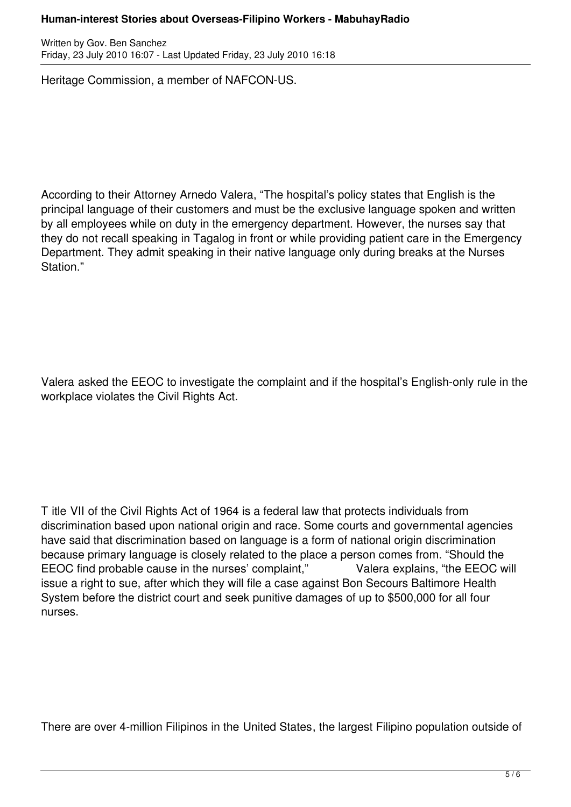### **Human-interest Stories about Overseas-Filipino Workers - MabuhayRadio**

Written by Gov. Ben Sanchez Friday, 23 July 2010 16:07 - Last Updated Friday, 23 July 2010 16:18

Heritage Commission, a member of NAFCON-US.

According to their Attorney Arnedo Valera, "The hospital's policy states that English is the principal language of their customers and must be the exclusive language spoken and written by all employees while on duty in the emergency department. However, the nurses say that they do not recall speaking in Tagalog in front or while providing patient care in the Emergency Department. They admit speaking in their native language only during breaks at the Nurses Station."

Valera asked the EEOC to investigate the complaint and if the hospital's English-only rule in the workplace violates the Civil Rights Act.

T itle VII of the Civil Rights Act of 1964 is a federal law that protects individuals from discrimination based upon national origin and race. Some courts and governmental agencies have said that discrimination based on language is a form of national origin discrimination because primary language is closely related to the place a person comes from. "Should the EEOC find probable cause in the nurses' complaint," Valera explains, "the EEOC will issue a right to sue, after which they will file a case against Bon Secours Baltimore Health System before the district court and seek punitive damages of up to \$500,000 for all four nurses.

There are over 4-million Filipinos in the United States, the largest Filipino population outside of